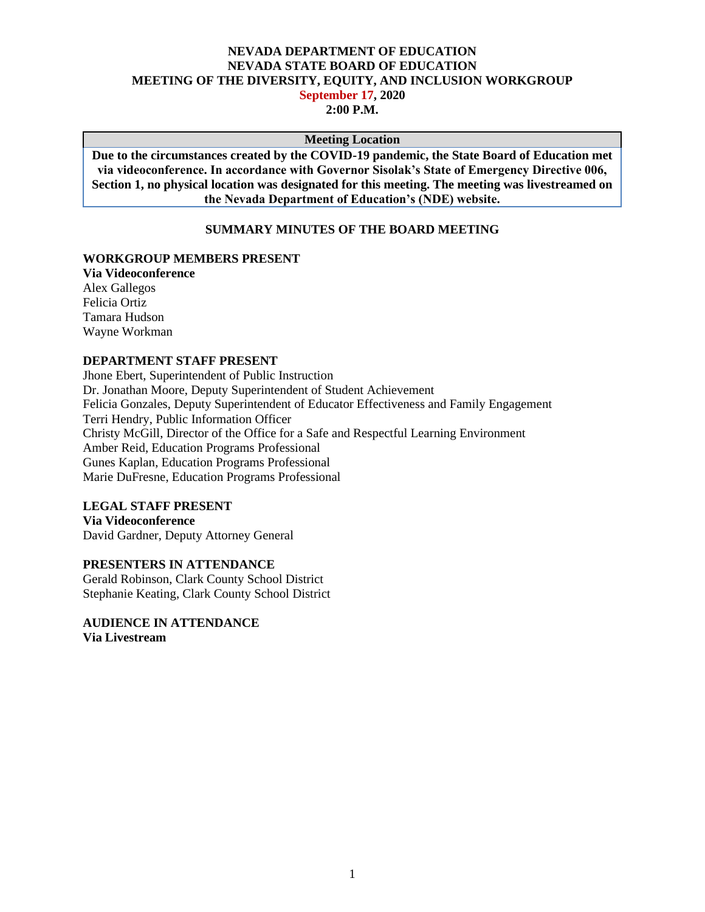#### **NEVADA DEPARTMENT OF EDUCATION NEVADA STATE BOARD OF EDUCATION MEETING OF THE DIVERSITY, EQUITY, AND INCLUSION WORKGROUP September 17, 2020 2:00 P.M.**

#### **Meeting Location**

**Due to the circumstances created by the COVID-19 pandemic, the State Board of Education met via videoconference. In accordance with Governor Sisolak's State of Emergency Directive 006, Section 1, no physical location was designated for this meeting. The meeting was livestreamed on the Nevada Department of Education's (NDE) website.**

#### **SUMMARY MINUTES OF THE BOARD MEETING**

#### **WORKGROUP MEMBERS PRESENT**

**Via Videoconference** Alex Gallegos Felicia Ortiz Tamara Hudson Wayne Workman

#### **DEPARTMENT STAFF PRESENT**

Jhone Ebert, Superintendent of Public Instruction Dr. Jonathan Moore, Deputy Superintendent of Student Achievement Felicia Gonzales, Deputy Superintendent of Educator Effectiveness and Family Engagement Terri Hendry, Public Information Officer Christy McGill, Director of the Office for a Safe and Respectful Learning Environment Amber Reid, Education Programs Professional Gunes Kaplan, Education Programs Professional Marie DuFresne, Education Programs Professional

### **LEGAL STAFF PRESENT**

**Via Videoconference** David Gardner, Deputy Attorney General

# **PRESENTERS IN ATTENDANCE**

Gerald Robinson, Clark County School District Stephanie Keating, Clark County School District

**AUDIENCE IN ATTENDANCE Via Livestream**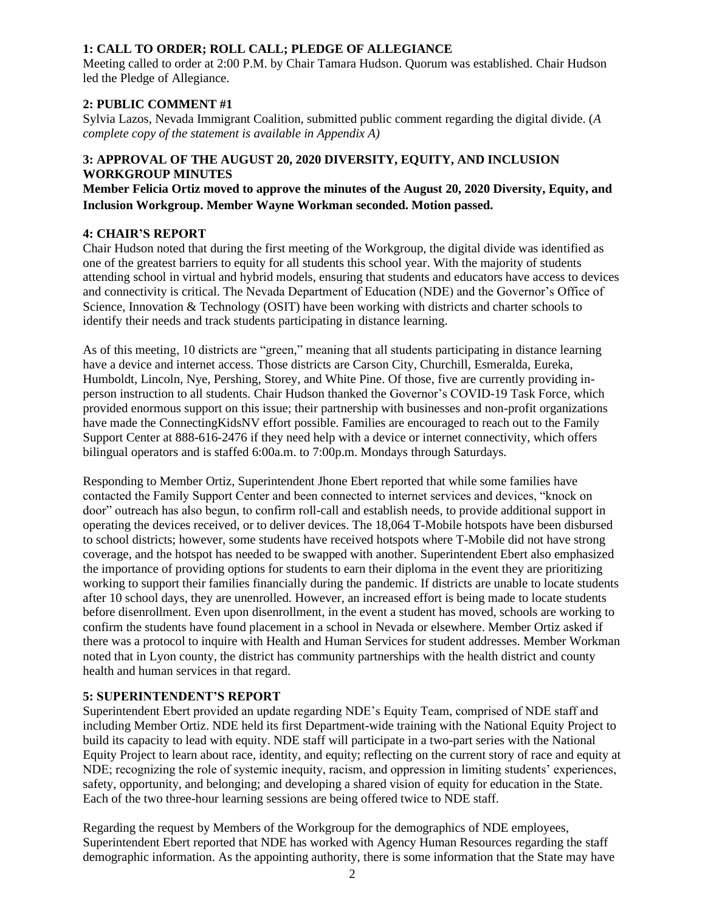## **1: CALL TO ORDER; ROLL CALL; PLEDGE OF ALLEGIANCE**

Meeting called to order at 2:00 P.M. by Chair Tamara Hudson. Quorum was established. Chair Hudson led the Pledge of Allegiance.

## **2: PUBLIC COMMENT #1**

Sylvia Lazos, Nevada Immigrant Coalition, submitted public comment regarding the digital divide. (*A complete copy of the statement is available in Appendix A)*

## **3: APPROVAL OF THE AUGUST 20, 2020 DIVERSITY, EQUITY, AND INCLUSION WORKGROUP MINUTES**

**Member Felicia Ortiz moved to approve the minutes of the August 20, 2020 Diversity, Equity, and Inclusion Workgroup. Member Wayne Workman seconded. Motion passed.** 

### **4: CHAIR'S REPORT**

Chair Hudson noted that during the first meeting of the Workgroup, the digital divide was identified as one of the greatest barriers to equity for all students this school year. With the majority of students attending school in virtual and hybrid models, ensuring that students and educators have access to devices and connectivity is critical. The Nevada Department of Education (NDE) and the Governor's Office of Science, Innovation & Technology (OSIT) have been working with districts and charter schools to identify their needs and track students participating in distance learning.

As of this meeting, 10 districts are "green," meaning that all students participating in distance learning have a device and internet access. Those districts are Carson City, Churchill, Esmeralda, Eureka, Humboldt, Lincoln, Nye, Pershing, Storey, and White Pine. Of those, five are currently providing inperson instruction to all students. Chair Hudson thanked the Governor's COVID-19 Task Force, which provided enormous support on this issue; their partnership with businesses and non-profit organizations have made the ConnectingKidsNV effort possible. Families are encouraged to reach out to the Family Support Center at 888-616-2476 if they need help with a device or internet connectivity, which offers bilingual operators and is staffed 6:00a.m. to 7:00p.m. Mondays through Saturdays.

Responding to Member Ortiz, Superintendent Jhone Ebert reported that while some families have contacted the Family Support Center and been connected to internet services and devices, "knock on door" outreach has also begun, to confirm roll-call and establish needs, to provide additional support in operating the devices received, or to deliver devices. The 18,064 T-Mobile hotspots have been disbursed to school districts; however, some students have received hotspots where T-Mobile did not have strong coverage, and the hotspot has needed to be swapped with another. Superintendent Ebert also emphasized the importance of providing options for students to earn their diploma in the event they are prioritizing working to support their families financially during the pandemic. If districts are unable to locate students after 10 school days, they are unenrolled. However, an increased effort is being made to locate students before disenrollment. Even upon disenrollment, in the event a student has moved, schools are working to confirm the students have found placement in a school in Nevada or elsewhere. Member Ortiz asked if there was a protocol to inquire with Health and Human Services for student addresses. Member Workman noted that in Lyon county, the district has community partnerships with the health district and county health and human services in that regard.

### **5: SUPERINTENDENT'S REPORT**

Superintendent Ebert provided an update regarding NDE's Equity Team, comprised of NDE staff and including Member Ortiz. NDE held its first Department-wide training with the National Equity Project to build its capacity to lead with equity. NDE staff will participate in a two-part series with the National Equity Project to learn about race, identity, and equity; reflecting on the current story of race and equity at NDE; recognizing the role of systemic inequity, racism, and oppression in limiting students' experiences, safety, opportunity, and belonging; and developing a shared vision of equity for education in the State. Each of the two three-hour learning sessions are being offered twice to NDE staff.

Regarding the request by Members of the Workgroup for the demographics of NDE employees, Superintendent Ebert reported that NDE has worked with Agency Human Resources regarding the staff demographic information. As the appointing authority, there is some information that the State may have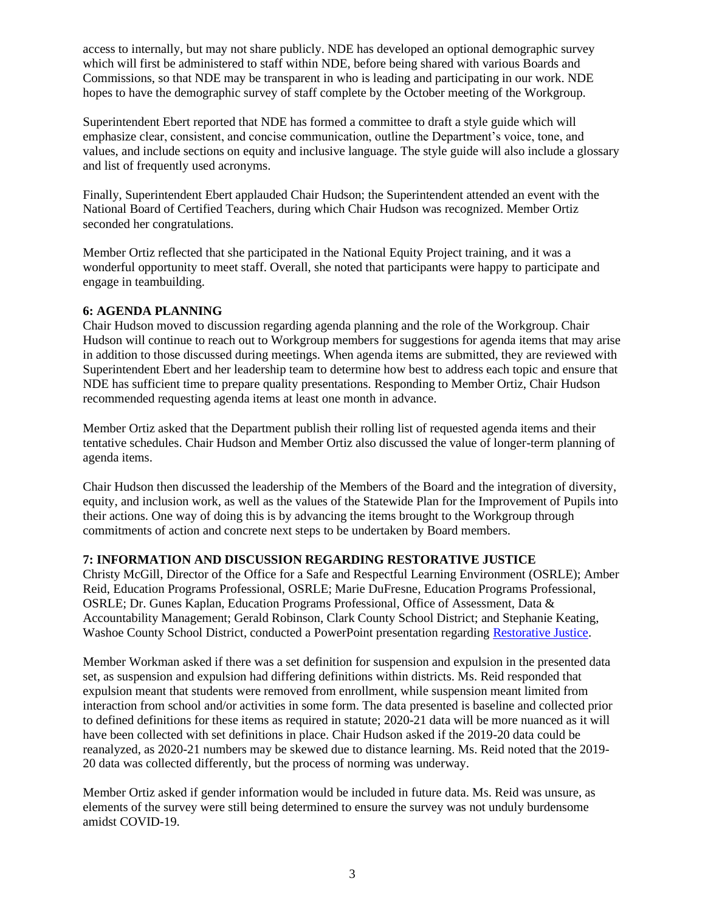access to internally, but may not share publicly. NDE has developed an optional demographic survey which will first be administered to staff within NDE, before being shared with various Boards and Commissions, so that NDE may be transparent in who is leading and participating in our work. NDE hopes to have the demographic survey of staff complete by the October meeting of the Workgroup.

Superintendent Ebert reported that NDE has formed a committee to draft a style guide which will emphasize clear, consistent, and concise communication, outline the Department's voice, tone, and values, and include sections on equity and inclusive language. The style guide will also include a glossary and list of frequently used acronyms.

Finally, Superintendent Ebert applauded Chair Hudson; the Superintendent attended an event with the National Board of Certified Teachers, during which Chair Hudson was recognized. Member Ortiz seconded her congratulations.

Member Ortiz reflected that she participated in the National Equity Project training, and it was a wonderful opportunity to meet staff. Overall, she noted that participants were happy to participate and engage in teambuilding.

### **6: AGENDA PLANNING**

Chair Hudson moved to discussion regarding agenda planning and the role of the Workgroup. Chair Hudson will continue to reach out to Workgroup members for suggestions for agenda items that may arise in addition to those discussed during meetings. When agenda items are submitted, they are reviewed with Superintendent Ebert and her leadership team to determine how best to address each topic and ensure that NDE has sufficient time to prepare quality presentations. Responding to Member Ortiz, Chair Hudson recommended requesting agenda items at least one month in advance.

Member Ortiz asked that the Department publish their rolling list of requested agenda items and their tentative schedules. Chair Hudson and Member Ortiz also discussed the value of longer-term planning of agenda items.

Chair Hudson then discussed the leadership of the Members of the Board and the integration of diversity, equity, and inclusion work, as well as the values of the Statewide Plan for the Improvement of Pupils into their actions. One way of doing this is by advancing the items brought to the Workgroup through commitments of action and concrete next steps to be undertaken by Board members.

### **7: INFORMATION AND DISCUSSION REGARDING RESTORATIVE JUSTICE**

Christy McGill, Director of the Office for a Safe and Respectful Learning Environment (OSRLE); Amber Reid, Education Programs Professional, OSRLE; Marie DuFresne, Education Programs Professional, OSRLE; Dr. Gunes Kaplan, Education Programs Professional, Office of Assessment, Data & Accountability Management; Gerald Robinson, Clark County School District; and Stephanie Keating, Washoe County School District, conducted a PowerPoint presentation regarding [Restorative Justice.](http://www.doe.nv.gov/uploadedFiles/ndedoenvgov/content/Boards_Commissions_Councils/State_Board_of_Education/2020/September/SBE%20DEI%20Restorative%20Practices%2009.17.2020%20ADA%20(002)(1).pdf)

Member Workman asked if there was a set definition for suspension and expulsion in the presented data set, as suspension and expulsion had differing definitions within districts. Ms. Reid responded that expulsion meant that students were removed from enrollment, while suspension meant limited from interaction from school and/or activities in some form. The data presented is baseline and collected prior to defined definitions for these items as required in statute; 2020-21 data will be more nuanced as it will have been collected with set definitions in place. Chair Hudson asked if the 2019-20 data could be reanalyzed, as 2020-21 numbers may be skewed due to distance learning. Ms. Reid noted that the 2019- 20 data was collected differently, but the process of norming was underway.

Member Ortiz asked if gender information would be included in future data. Ms. Reid was unsure, as elements of the survey were still being determined to ensure the survey was not unduly burdensome amidst COVID-19.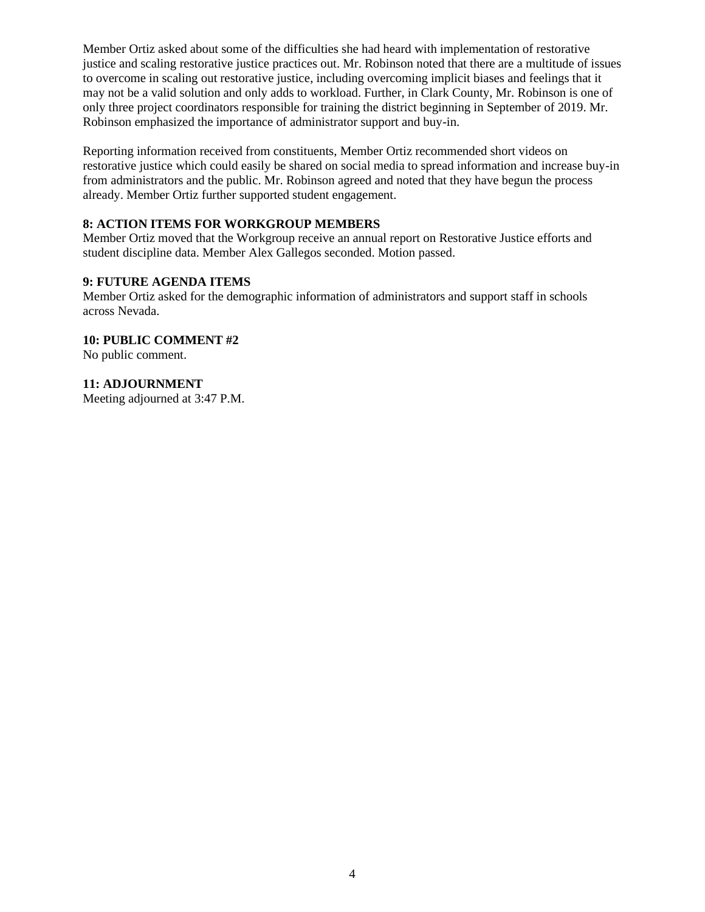Member Ortiz asked about some of the difficulties she had heard with implementation of restorative justice and scaling restorative justice practices out. Mr. Robinson noted that there are a multitude of issues to overcome in scaling out restorative justice, including overcoming implicit biases and feelings that it may not be a valid solution and only adds to workload. Further, in Clark County, Mr. Robinson is one of only three project coordinators responsible for training the district beginning in September of 2019. Mr. Robinson emphasized the importance of administrator support and buy-in.

Reporting information received from constituents, Member Ortiz recommended short videos on restorative justice which could easily be shared on social media to spread information and increase buy-in from administrators and the public. Mr. Robinson agreed and noted that they have begun the process already. Member Ortiz further supported student engagement.

### **8: ACTION ITEMS FOR WORKGROUP MEMBERS**

Member Ortiz moved that the Workgroup receive an annual report on Restorative Justice efforts and student discipline data. Member Alex Gallegos seconded. Motion passed.

## **9: FUTURE AGENDA ITEMS**

Member Ortiz asked for the demographic information of administrators and support staff in schools across Nevada.

**10: PUBLIC COMMENT #2** No public comment.

**11: ADJOURNMENT**

Meeting adjourned at 3:47 P.M.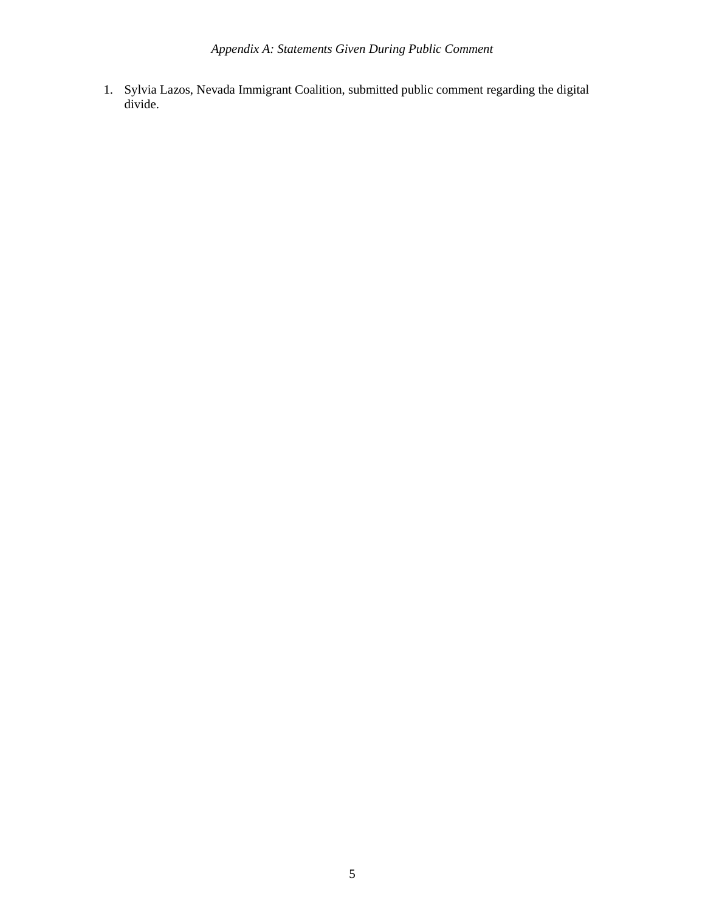1. Sylvia Lazos, Nevada Immigrant Coalition, submitted public comment regarding the digital divide.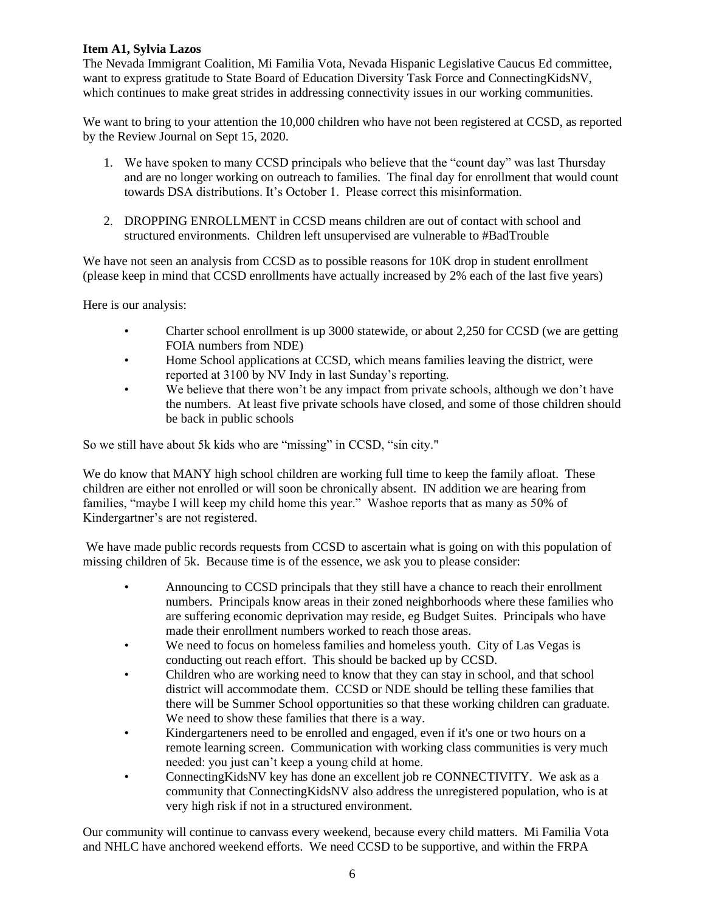## **Item A1, Sylvia Lazos**

The Nevada Immigrant Coalition, Mi Familia Vota, Nevada Hispanic Legislative Caucus Ed committee, want to express gratitude to State Board of Education Diversity Task Force and ConnectingKidsNV, which continues to make great strides in addressing connectivity issues in our working communities.

We want to bring to your attention the 10,000 children who have not been registered at CCSD, as reported by the Review Journal on Sept 15, 2020.

- 1. We have spoken to many CCSD principals who believe that the "count day" was last Thursday and are no longer working on outreach to families. The final day for enrollment that would count towards DSA distributions. It's October 1. Please correct this misinformation.
- 2. DROPPING ENROLLMENT in CCSD means children are out of contact with school and structured environments. Children left unsupervised are vulnerable to #BadTrouble

We have not seen an analysis from CCSD as to possible reasons for 10K drop in student enrollment (please keep in mind that CCSD enrollments have actually increased by 2% each of the last five years)

Here is our analysis:

- Charter school enrollment is up 3000 statewide, or about 2,250 for CCSD (we are getting FOIA numbers from NDE)
- Home School applications at CCSD, which means families leaving the district, were reported at 3100 by NV Indy in last Sunday's reporting.
- We believe that there won't be any impact from private schools, although we don't have the numbers. At least five private schools have closed, and some of those children should be back in public schools

So we still have about 5k kids who are "missing" in CCSD, "sin city."

We do know that MANY high school children are working full time to keep the family afloat. These children are either not enrolled or will soon be chronically absent. IN addition we are hearing from families, "maybe I will keep my child home this year." Washoe reports that as many as 50% of Kindergartner's are not registered.

We have made public records requests from CCSD to ascertain what is going on with this population of missing children of 5k. Because time is of the essence, we ask you to please consider:

- Announcing to CCSD principals that they still have a chance to reach their enrollment numbers. Principals know areas in their zoned neighborhoods where these families who are suffering economic deprivation may reside, eg Budget Suites. Principals who have made their enrollment numbers worked to reach those areas.
- We need to focus on homeless families and homeless youth. City of Las Vegas is conducting out reach effort. This should be backed up by CCSD.
- Children who are working need to know that they can stay in school, and that school district will accommodate them. CCSD or NDE should be telling these families that there will be Summer School opportunities so that these working children can graduate. We need to show these families that there is a way.
- Kindergarteners need to be enrolled and engaged, even if it's one or two hours on a remote learning screen. Communication with working class communities is very much needed: you just can't keep a young child at home.
- ConnectingKidsNV key has done an excellent job re CONNECTIVITY. We ask as a community that ConnectingKidsNV also address the unregistered population, who is at very high risk if not in a structured environment.

Our community will continue to canvass every weekend, because every child matters. Mi Familia Vota and NHLC have anchored weekend efforts. We need CCSD to be supportive, and within the FRPA